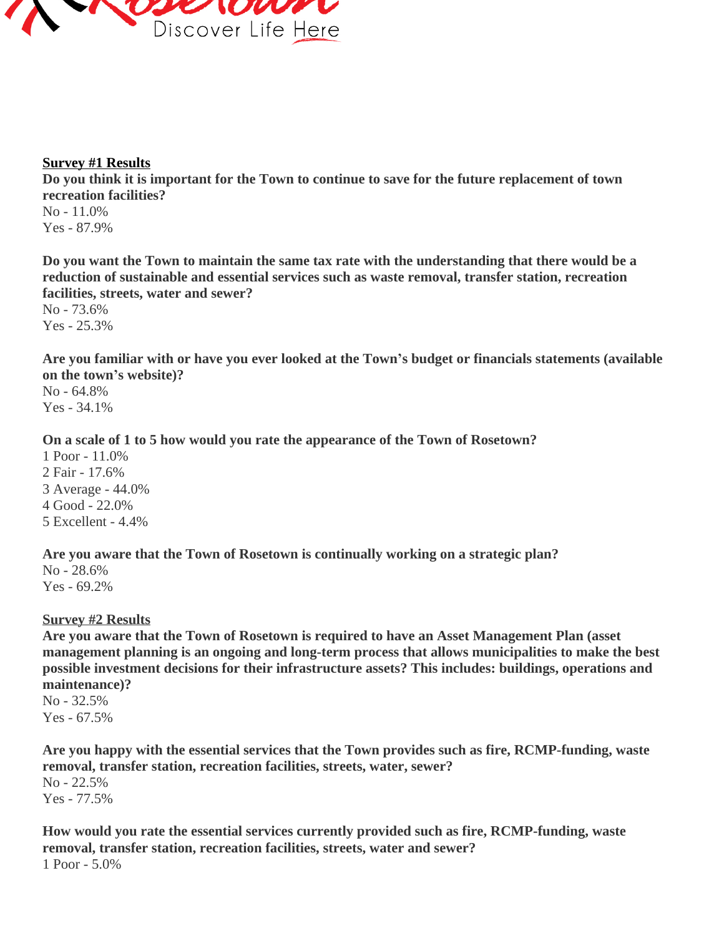

## **Survey #1 Results**

**Do you think it is important for the Town to continue to save for the future replacement of town recreation facilities?**

No - 11.0% Yes - 87.9%

**Do you want the Town to maintain the same tax rate with the understanding that there would be a reduction of sustainable and essential services such as waste removal, transfer station, recreation facilities, streets, water and sewer?**

No - 73.6% Yes - 25.3%

**Are you familiar with or have you ever looked at the Town's budget or financials statements (available on the town's website)?**

No - 64.8% Yes - 34.1%

# **On a scale of 1 to 5 how would you rate the appearance of the Town of Rosetown?**

1 Poor - 11.0% 2 Fair - 17.6% 3 Average - 44.0% 4 Good - 22.0% 5 Excellent - 4.4%

**Are you aware that the Town of Rosetown is continually working on a strategic plan?**

No - 28.6% Yes - 69.2%

# **Survey #2 Results**

**Are you aware that the Town of Rosetown is required to have an Asset Management Plan (asset management planning is an ongoing and long-term process that allows municipalities to make the best possible investment decisions for their infrastructure assets? This includes: buildings, operations and maintenance)?**

No - 32.5% Yes - 67.5%

**Are you happy with the essential services that the Town provides such as fire, RCMP-funding, waste removal, transfer station, recreation facilities, streets, water, sewer?** No - 22.5% Yes - 77.5%

**How would you rate the essential services currently provided such as fire, RCMP-funding, waste removal, transfer station, recreation facilities, streets, water and sewer?** 1 Poor - 5.0%